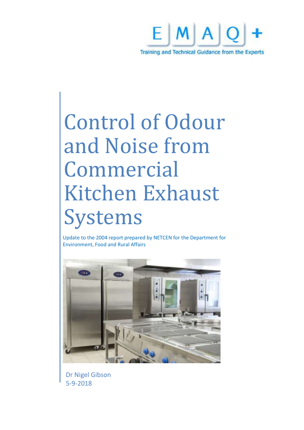

# Control of Odour and Noise from Commercial Kitchen Exhaust Systems

Update to the 2004 report prepared by NETCEN for the Department for Environment, Food and Rural Affairs



Dr Nigel Gibson 5-9-2018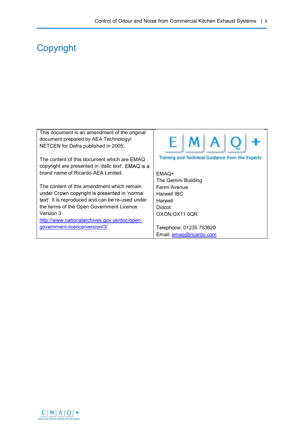## **Copyright**

| This document is an amendment of the original                |                                                  |
|--------------------------------------------------------------|--------------------------------------------------|
| document prepared by AEA Technology/                         |                                                  |
| NETCEN for Defra published in 2005.                          | $H \mid M \mid A \mid$                           |
|                                                              |                                                  |
|                                                              |                                                  |
| The content of this document which are EMAQ                  | Training and Technical Guidance from the Experts |
| copyright are presented in ' <i>italic text</i> '. EMAQ is a |                                                  |
| brand name of Ricardo-AEA Limited.                           | EMAQ+                                            |
|                                                              |                                                  |
|                                                              | The Gemini Building                              |
| The content of this amendment which remain                   | Fermi Avenue                                     |
| under Crown copyright is presented in 'normal                | Harwell IBC                                      |
| text'. It is reproduced and can be re-used under             | Harwell                                          |
| the terms of the Open Government Licence                     | <b>Didcot</b>                                    |
| Version 3-                                                   | OXON, OX11 0QR                                   |
| http://www.nationalarchives.gov.uk/doc/open-                 |                                                  |
| government-licence/version/3/                                | Telephone: 01235 753620                          |
|                                                              | Email: emaq@ricardo.com                          |
|                                                              |                                                  |

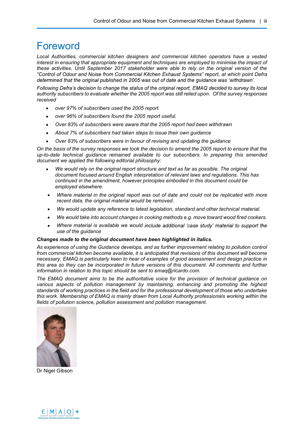## Foreword

Local Authorities, commercial kitchen designers and commercial kitchen operators have a vested interest in ensuring that appropriate equipment and techniques are employed to minimise the impact of these activities. Until September 2017 stakeholder were able to rely on the original version of the "Control of Odour and Noise from Commercial Kitchen Exhaust Systems" report, at which point Defra determined that the original published in 2005 was out of date and the quidance was 'withdrawn'.

Following Defra's decision to change the status of the original report, EMAQ decided to survey its local authority subscribers to evaluate whether the 2005 report was still relied upon. Of the survey responses received

- $\bullet$ over 97% of subscribers used the 2005 report.
- over 96% of subscribers found the 2005 report useful.  $\bullet$
- Over 83% of subscribers were aware that the 2005 report had been withdrawn
- $\bullet$ About 7% of subscribers had taken steps to issue their own guidance
- Over 83% of subscribers were in favour of revising and updating the guidance  $\bullet$

On the basis of the survey responses we took the decision to amend the 2005 report to ensure that the up-to-date technical guidance remained available to our subscribers. In preparing this amended document we applied the following editorial philosophy:

- We would rely on the original report structure and text as far as possible. The original document focused around English interpretation of relevant laws and regulations. This has continued in the amendment, however principles embodied in this document could be employed elsewhere.
- Where material in the original report was out of date and could not be replicated with more recent data, the original material would be removed.
- We would update any reference to latest legislation, standard and other technical material.
- We would take into account changes in cooking methods e.g. move toward wood fired cookers.
- Where material is available we would include additional 'case study' material to support the use of the guidance

#### Changes made to the original document have been highlighted in italics.

As experience of using the Guidance develops, and as further improvement relating to pollution control from commercial kitchen become available, it is anticipated that revisions of this document will become necessary. EMAQ is particularly keen to hear of examples of good assessment and design practice in this area so they can be incorporated in future versions of this document. All comments and further information in relation to this topic should be sent to emaq@ricardo.com.

The EMAQ document aims to be the authoritative voice for the provision of technical guidance on various aspects of pollution management by maintaining, enhancing and promoting the highest standards of working practices in the field and for the professional development of those who undertake this work. Membership of EMAQ is mainly drawn from Local Authority professionals working within the fields of pollution science, pollution assessment and pollution management.



Dr Nigel Gibson

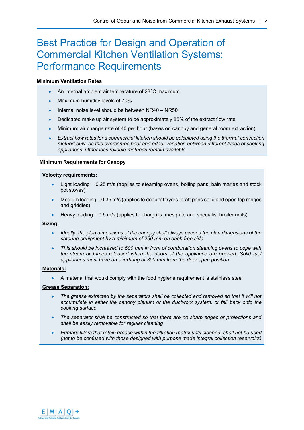## Best Practice for Design and Operation of Commercial Kitchen Ventilation Systems: Performance Requirements

#### Minimum Ventilation Rates

- An internal ambient air temperature of 28°C maximum  $\bullet$
- Maximum humidity levels of 70%
- Internal noise level should be between  $NR40 NR50$
- Dedicated make up air system to be approximately 85% of the extract flow rate
- Minimum air change rate of 40 per hour (bases on canopy and general room extraction)
- Extract flow rates for a commercial kitchen should be calculated using the thermal convection method only, as this overcomes heat and odour variation between different types of cooking appliances. Other less reliable methods remain available.

#### Minimum Requirements for Canopy

#### Velocity requirements:

- Light loading  $-0.25$  m/s (applies to steaming ovens, boiling pans, bain maries and stock pot stoves)
- Medium loading  $-0.35$  m/s (applies to deep fat fryers, bratt pans solid and open top ranges and griddles)
- Heavy loading  $-0.5$  m/s (applies to chargrills, mesquite and specialist broiler units)

#### Sizing:

- Ideally, the plan dimensions of the canopy shall always exceed the plan dimensions of the catering equipment by a minimum of 250 mm on each free side
- This should be increased to 600 mm in front of combination steaming ovens to cope with the steam or fumes released when the doors of the appliance are opened. Solid fuel appliances must have an overhang of 300 mm from the door open position

#### Materials:

A material that would comply with the food hygiene requirement is stainless steel

#### Grease Separation:

- The grease extracted by the separators shall be collected and removed so that it will not accumulate in either the canopy plenum or the ductwork system, or fall back onto the cooking surface
- The separator shall be constructed so that there are no sharp edges or projections and shall be easily removable for regular cleaning
- Primary filters that retain grease within the filtration matrix until cleaned, shall not be used (not to be confused with those designed with purpose made integral collection reservoirs)

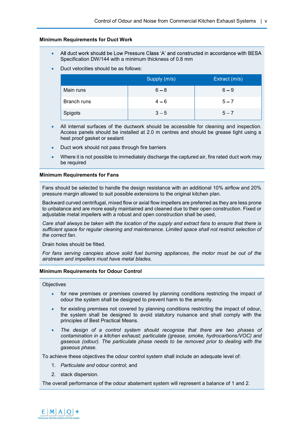#### Minimum Requirements for Duct Work

- All duct work should be Low Pressure Class 'A' and constructed in accordance with BESA Specification DW/144 with a minimum thickness of 0.8 mm
- Duct velocities should be as follows:

|             | Supply (m/s) | Extract (m/s) |
|-------------|--------------|---------------|
| Main runs   | $6 - 8$      | $6 - 9$       |
| Branch runs | $4 - 6$      | $5 - 7$       |
| Spigots     | $3 - 5$      | $5 - 7$       |

- All internal surfaces of the ductwork should be accessible for cleaning and inspection.  $\bullet$ Access panels should be installed at 2.0 m centres and should be grease tight using a heat proof gasket or sealant
- Duct work should not pass through fire barriers
- Where it is not possible to immediately discharge the captured air, fire rated duct work may be required

#### Minimum Requirements for Fans

Fans should be selected to handle the design resistance with an additional 10% airflow and 20% pressure margin allowed to suit possible extensions to the original kitchen plan.

Backward curved centrifugal, mixed flow or axial flow impellers are preferred as they are less prone to unbalance and are more easily maintained and cleaned due to their open construction. Fixed or adjustable metal impellers with a robust and open construction shall be used,

Care shall always be taken with the location of the supply and extract fans to ensure that there is sufficient space for regular cleaning and maintenance. Limited space shall not restrict selection of the correct fan.

Drain holes should be fitted.

For fans serving canopies above solid fuel burning appliances, the motor must be out of the airstream and impellers must have metal blades.

#### Minimum Requirements for Odour Control

#### **Objectives**

- for new premises or premises covered by planning conditions restricting the impact of odour the system shall be designed to prevent harm to the amenity.
- for existing premises not covered by planning conditions restricting the impact of odour, the system shall be designed to avoid statutory nuisance and shall comply with the principles of Best Practical Means.
- The design of a control system should recognise that there are two phases of contamination in a kitchen exhaust; particulate (grease, smoke, hydrocarbons/VOC) and gaseous (odour). The particulate phase needs to be removed prior to dealing with the gaseous phase.

To achieve these objectives the odour control system shall include an adequate level of:

- 1. Particulate and odour control; and
- 2. stack dispersion.

The overall performance of the odour abatement system will represent a balance of 1 and 2.

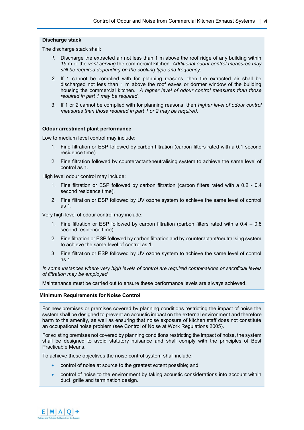#### Discharge stack

The discharge stack shall:

- 1. Discharge the extracted air not less than 1 m above the roof ridge of any building within 15 m of the vent serving the commercial kitchen. Additional odour control measures may still be required depending on the cooking type and frequency.
- 2. If 1 cannot be complied with for planning reasons, then the extracted air shall be discharged not less than 1 m above the roof eaves or dormer window of the building housing the commercial kitchen. A higher level of odour control measures than those required in part 1 may be required.
- 3. If 1 or 2 cannot be complied with for planning reasons, then higher level of odour control measures than those required in part 1 or 2 may be required.

#### Odour arrestment plant performance

Low to medium level control may include:

- 1. Fine filtration or ESP followed by carbon filtration (carbon filters rated with a 0.1 second residence time).
- 2. Fine filtration followed by counteractant/neutralising system to achieve the same level of control as 1.

High level odour control may include:

- 1. Fine filtration or ESP followed by carbon filtration (carbon filters rated with a 0.2 0.4 second residence time).
- 2. Fine filtration or ESP followed by UV ozone system to achieve the same level of control as 1.

Very high level of odour control may include:

- 1. Fine filtration or ESP followed by carbon filtration (carbon filters rated with a  $0.4 0.8$ ) second residence time).
- 2. Fine filtration or ESP followed by carbon filtration and by counteractant/neutralising system to achieve the same level of control as 1.
- 3. Fine filtration or ESP followed by UV ozone system to achieve the same level of control as 1.

In some instances where very high levels of control are required combinations or sacrificial levels of filtration may be employed.

Maintenance must be carried out to ensure these performance levels are always achieved.

#### Minimum Requirements for Noise Control

For new premises or premises covered by planning conditions restricting the impact of noise the system shall be designed to prevent an acoustic impact on the external environment and therefore harm to the amenity, as well as ensuring that noise exposure of kitchen staff does not constitute an occupational noise problem (see Control of Noise at Work Regulations 2005).

For existing premises not covered by planning conditions restricting the impact of noise, the system shall be designed to avoid statutory nuisance and shall comply with the principles of Best Practicable Means.

To achieve these objectives the noise control system shall include:

- control of noise at source to the greatest extent possible; and
- control of noise to the environment by taking acoustic considerations into account within duct, grille and termination design.

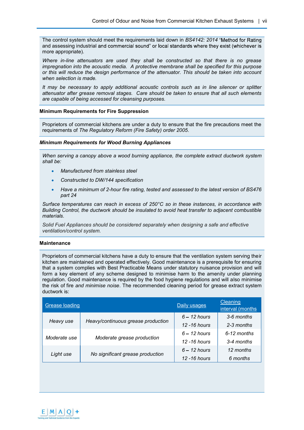The control system should meet the requirements laid down in BS4142: 2014 "Method for Rating and assessing industrial and commercial sound" or local standards where they exist (whichever is more appropriate).

Where in-line attenuators are used they shall be constructed so that there is no grease impregnation into the acoustic media. A protective membrane shall be specified for this purpose or this will reduce the design performance of the attenuator. This should be taken into account when selection is made.

It may be necessary to apply additional acoustic controls such as in line silencer or splitter attenuator after grease removal stages. Care should be taken to ensure that all such elements are capable of being accessed for cleansing purposes.

#### Minimum Requirements for Fire Suppression

Proprietors of commercial kitchens are under a duty to ensure that the fire precautions meet the requirements of The Regulatory Reform (Fire Safety) order 2005.

#### Minimum Requirements for Wood Burning Appliances

When serving a canopy above a wood burning appliance, the complete extract ductwork system shall be:

- Manufactured from stainless steel
- Constructed to DW/144 specification
- Have a minimum of 2-hour fire rating, tested and assessed to the latest version of BS476 part 24

Surface temperatures can reach in excess of 250°C so in these instances, in accordance with Building Control, the ductwork should be insulated to avoid heat transfer to adjacent combustible materials.

Solid Fuel Appliances should be considered separately when designing a safe and effective ventilation/control system.

#### **Maintenance**

Proprietors of commercial kitchens have a duty to ensure that the ventilation system serving their kitchen are maintained and operated effectively. Good maintenance is a prerequisite for ensuring that a system complies with Best Practicable Means under statutory nuisance provision and will form a key element of any scheme designed to minimise harm to the amenity under planning regulation. Good maintenance is required by the food hygiene regulations and will also minimise the risk of fire and minimise noise. The recommended cleaning period for grease extract system ductwork is:

| <b>Grease loading</b>                      |                                    | Daily usages    | Cleaning<br>interval (months |
|--------------------------------------------|------------------------------------|-----------------|------------------------------|
| Heavy use                                  |                                    | $6 - 12$ hours  | 3-6 months                   |
|                                            | Heavy/continuous grease production | $12 - 16$ hours | 2-3 months                   |
| Moderate grease production<br>Moderate use |                                    | $6 - 12$ hours  | $6-12$ months                |
|                                            |                                    | $12 - 16$ hours | 3-4 months                   |
| Light use                                  | No significant grease production   | $6 - 12$ hours  | 12 months                    |
|                                            |                                    | 12 - 16 hours   | 6 months                     |

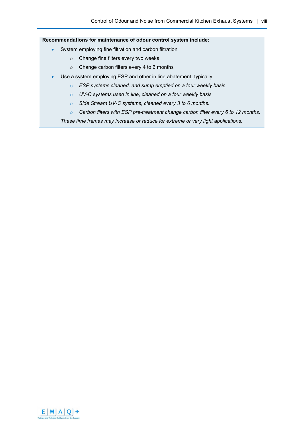### Recommendations for maintenance of odour control system include:

- System employing fine filtration and carbon filtration  $\bullet$ 
	- o Change fine filters every two weeks
	- o Change carbon filters every 4 to 6 months
- Use a system employing ESP and other in line abatement, typically  $\bullet$ 
	- o ESP systems cleaned, and sump emptied on a four weekly basis.
	- o UV-C systems used in line, cleaned on a four weekly basis
	- o Side Stream UV-C systems, cleaned every 3 to 6 months.
	- o Carbon filters with ESP pre-treatment change carbon filter every 6 to 12 months.

These time frames may increase or reduce for extreme or very light applications.